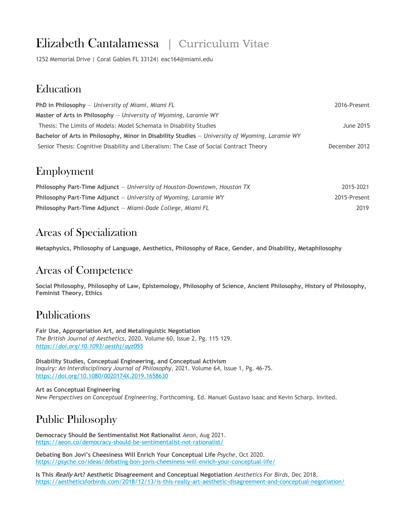# Elizabeth Cantalamessa | Curriculum Vitae

1252 Memorial Drive | Coral Gables FL 33124| eac164@miami.edu

#### **Education**

| <b>PhD in Philosophy</b> $-$ University of Miami, Miami FL                                      | 2016-Present  |
|-------------------------------------------------------------------------------------------------|---------------|
| Master of Arts in Philosophy $-$ University of Wyoming, Laramie WY                              |               |
| Thesis: The Limits of Models: Model Schemata in Disability Studies                              | June 2015     |
| Bachelor of Arts in Philosophy, Minor in Disability Studies - University of Wyoming, Laramie WY |               |
| Senior Thesis: Cognitive Disability and Liberalism: The Case of Social Contract Theory          | December 2012 |

## Employment

| Philosophy Part-Time Adjunct $-$ University of Houston-Downtown, Houston TX | 2015-2021    |
|-----------------------------------------------------------------------------|--------------|
| Philosophy Part-Time Adjunct $-$ University of Wyoming, Laramie WY          | 2015-Present |
| Philosophy Part-Time Adjunct - Miami-Dade College, Miami FL                 | 2019         |

## Areas of Specialization

**Metaphysics, Philosophy of Language, Aesthetics, Philosophy of Race, Gender, and Disability, Metaphilosophy**

#### Areas of Competence

**Social Philosophy, Philosophy of Law, Epistemology, Philosophy of Science, Ancient Philosophy, History of Philosophy, Feminist Theory, Ethics**

## Publications

**Fair Use, Appropriation Art, and Metalinguistic Negotiation** *The British Journal of Aesthetics,* 2020. Volume 60, Issue 2, Pg. 115–129. *https://doi.org/10.1093/aesthj/ayz055*

**Disability Studies, Conceptual Engineering, and Conceptual Activism** *Inquiry: An Interdisciplinary Journal of Philosophy*, 2021. Volume 64, Issue 1, Pg. 46-75. https://doi.org/10.1080/0020174X.2019.1658630

**Art as Conceptual Engineering** *New Perspectives on Conceptual Engineering*, Forthcoming. Ed. Manuel Gustavo Isaac and Kevin Scharp. Invited.

# Public Philosophy

**Democracy Should Be Sentimentalist Not Rationalist** *Aeon*, Aug 2021. https://aeon.co/democracy-should-be-sentimentalist-not-rationalist/

**Debating Bon Jovi's Cheesiness Will Enrich Your Conceptual Life** *Psyche*, Oct 2020. https://psyche.co/ideas/debating-bon-jovis-cheesiness-will-enrich-your-conceptual-life/

**Is This Really Art? Aesthetic Disagreement and Conceptual Negotiation** *Aesthetics For Birds*, Dec 2018. https://aestheticsforbirds.com/2018/12/13/is-this-really-art-aesthetic-disagreement-and-conceptual-negotiation/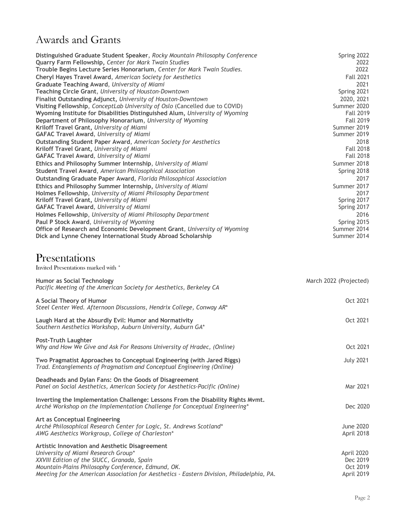# Awards and Grants

| Distinguished Graduate Student Speaker, Rocky Mountain Philosophy Conference                                                                                   | Spring 2022              |
|----------------------------------------------------------------------------------------------------------------------------------------------------------------|--------------------------|
| Quarry Farm Fellowship, Center for Mark Twain Studies                                                                                                          | 2022                     |
| Trouble Begins Lecture Series Honorarium, Center for Mark Twain Studies.                                                                                       | 2022<br><b>Fall 2021</b> |
| Cheryl Hayes Travel Award, American Society for Aesthetics<br>Graduate Teaching Award, University of Miami                                                     | 2021                     |
| Teaching Circle Grant, University of Houston-Downtown                                                                                                          | Spring 2021              |
| Finalist Outstanding Adjunct, University of Houston-Downtown                                                                                                   | 2020, 2021               |
| Visiting Fellowship, ConceptLab University of Oslo (Cancelled due to COVID)                                                                                    | Summer 2020              |
| Wyoming Institute for Disabilities Distinguished Alum, University of Wyoming                                                                                   | <b>Fall 2019</b>         |
| Department of Philosophy Honorarium, University of Wyoming                                                                                                     | <b>Fall 2019</b>         |
| Kriloff Travel Grant, University of Miami                                                                                                                      | Summer 2019              |
| <b>GAFAC Travel Award, University of Miami</b>                                                                                                                 | Summer 2019              |
| Outstanding Student Paper Award, American Society for Aesthetics                                                                                               | 2018                     |
| Kriloff Travel Grant, University of Miami                                                                                                                      | <b>Fall 2018</b>         |
| <b>GAFAC Travel Award, University of Miami</b>                                                                                                                 | <b>Fall 2018</b>         |
| Ethics and Philosophy Summer Internship, University of Miami                                                                                                   | Summer 2018              |
| Student Travel Award, American Philosophical Association                                                                                                       | Spring 2018<br>2017      |
| Outstanding Graduate Paper Award, Florida Philosophical Association<br>Ethics and Philosophy Summer Internship, University of Miami                            | Summer 2017              |
| Holmes Fellowship, University of Miami Philosophy Department                                                                                                   | 2017                     |
| Kriloff Travel Grant, University of Miami                                                                                                                      | Spring 2017              |
| <b>GAFAC Travel Award, University of Miami</b>                                                                                                                 | Spring 2017              |
| Holmes Fellowship, University of Miami Philosophy Department                                                                                                   | 2016                     |
| Paul P Stock Award, University of Wyoming                                                                                                                      | Spring 2015              |
| Office of Research and Economic Development Grant, University of Wyoming                                                                                       | Summer 2014              |
| Dick and Lynne Cheney International Study Abroad Scholarship                                                                                                   | Summer 2014              |
|                                                                                                                                                                |                          |
| Presentations                                                                                                                                                  |                          |
| Invited Presentations marked with *                                                                                                                            |                          |
| <b>Humor as Social Technology</b>                                                                                                                              | March 2022 (Projected)   |
| Pacific Meeting of the American Society for Aesthetics, Berkeley CA                                                                                            |                          |
| A Social Theory of Humor                                                                                                                                       | Oct 2021                 |
| Steel Center Wed. Afternoon Discussions, Hendrix College, Conway AR*                                                                                           |                          |
| Laugh Hard at the Absurdly Evil: Humor and Normativity                                                                                                         | Oct 2021                 |
| Southern Aesthetics Workshop, Auburn University, Auburn GA*                                                                                                    |                          |
| <b>Post-Truth Laughter</b>                                                                                                                                     |                          |
| Why and How We Give and Ask For Reasons University of Hradec, (Online)                                                                                         | Oct 2021                 |
| Two Pragmatist Approaches to Conceptual Engineering (with Jared Riggs)<br>Trad. Entanglements of Pragmatism and Conceptual Engineering (Online)                | <b>July 2021</b>         |
| Deadheads and Dylan Fans: On the Goods of Disagreement<br>Panel on Social Aesthetics, American Society for Aesthetics-Pacific (Online)                         | Mar 2021                 |
|                                                                                                                                                                |                          |
| Inverting the Implementation Challenge: Lessons From the Disability Rights Mvmt.<br>Arché Workshop on the Implementation Challenge for Conceptual Engineering* | Dec 2020                 |
| Art as Conceptual Engineering                                                                                                                                  |                          |
| Arché Philosophical Research Center for Logic, St. Andrews Scotland*                                                                                           | <b>June 2020</b>         |
| AWG Aesthetics Workgroup, College of Charleston*                                                                                                               | April 2018               |
| Artistic Innovation and Aesthetic Disagreement                                                                                                                 |                          |
| University of Miami Research Group*                                                                                                                            | April 2020               |
| XXVIII Edition of the SIUCC, Granada, Spain                                                                                                                    | Dec 2019                 |
| Mountain-Plains Philosophy Conference, Edmund, OK.                                                                                                             |                          |
| Meeting for the American Association for Aesthetics - Eastern Division, Philadelphia, PA.                                                                      | Oct 2019<br>April 2019   |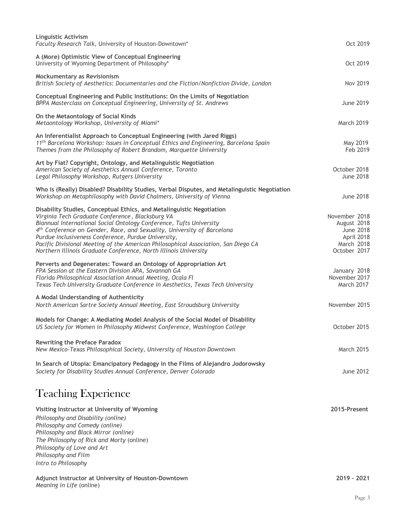| <b>Linguistic Activism</b><br>Faculty Research Talk, University of Houston-Downtown*                                                                                                                                                                                                                                                                                                                                                                                                        | Oct 2019                                                                              |
|---------------------------------------------------------------------------------------------------------------------------------------------------------------------------------------------------------------------------------------------------------------------------------------------------------------------------------------------------------------------------------------------------------------------------------------------------------------------------------------------|---------------------------------------------------------------------------------------|
| A (More) Optimistic View of Conceptual Engineering<br>University of Wyoming Department of Philosophy*                                                                                                                                                                                                                                                                                                                                                                                       | Oct 2019                                                                              |
| Mockumentary as Revisionism<br>British Society of Aesthetics: Documentaries and the Fiction/Nonfiction Divide, London                                                                                                                                                                                                                                                                                                                                                                       | <b>Nov 2019</b>                                                                       |
| Conceptual Engineering and Public Institutions: On the Limits of Negotiation<br>BPPA Masterclass on Conceptual Engineering, University of St. Andrews                                                                                                                                                                                                                                                                                                                                       | <b>June 2019</b>                                                                      |
| On the Metaontology of Social Kinds<br>Metaontology Workshop, University of Miami*                                                                                                                                                                                                                                                                                                                                                                                                          | <b>March 2019</b>                                                                     |
| An Inferentialist Approach to Conceptual Engineering (with Jared Riggs)<br>11 <sup>th</sup> Barcelona Workshop: Issues in Conceptual Ethics and Engineering, Barcelona Spain<br>Themes from the Philosophy of Robert Brandom, Marquette University                                                                                                                                                                                                                                          | May 2019<br>Feb 2019                                                                  |
| Art by Fiat? Copyright, Ontology, and Metalinguistic Negotiation<br>American Society of Aesthetics Annual Conference, Toronto<br>Legal Philosophy Workshop, Rutgers University                                                                                                                                                                                                                                                                                                              | October 2018<br><b>June 2018</b>                                                      |
| Who is (Really) Disabled? Disability Studies, Verbal Disputes, and Metalinguistic Negotiation<br>Workshop on Metaphilosophy with David Chalmers, University of Vienna                                                                                                                                                                                                                                                                                                                       | <b>June 2018</b>                                                                      |
| Disability Studies, Conceptual Ethics, and Metalinguistic Negotiation<br>Virginia Tech Graduate Conference, Blacksburg VA<br>Biannual International Social Ontology Conference, Tufts University<br>4th Conference on Gender, Race, and Sexuality, University of Barcelona<br>Purdue Inclusiveness Conference, Purdue University,<br>Pacific Divisional Meeting of the American Philosophical Association, San Diego CA<br>Northern Illinois Graduate Conference, North Illinois University | November 2018<br>August 2018<br>June 2018<br>April 2018<br>March 2018<br>October 2017 |
| Perverts and Degenerates: Toward an Ontology of Appropriation Art<br>FPA Session at the Eastern Division APA, Savannah GA<br>Florida Philosophical Association Annual Meeting, Ocala Fl<br>Texas Tech University Graduate Conference in Aesthetics, Texas Tech University                                                                                                                                                                                                                   | January 2018<br>November 2017<br>March 2017                                           |
| A Modal Understanding of Authenticity<br>North American Sartre Society Annual Meeting, East Stroudsburg University                                                                                                                                                                                                                                                                                                                                                                          | November 2015                                                                         |
| Models for Change: A Mediating Model Analysis of the Social Model of Disability<br>US Society for Women in Philosophy Midwest Conference, Washington College                                                                                                                                                                                                                                                                                                                                | October 2015                                                                          |
| <b>Rewriting the Preface Paradox</b><br>New Mexico-Texas Philosophical Society, University of Houston Downtown                                                                                                                                                                                                                                                                                                                                                                              | <b>March 2015</b>                                                                     |
| In Search of Utopia: Emancipatory Pedagogy in the Films of Alejandro Jodorowsky<br>Society for Disability Studies Annual Conference, Denver Colorado                                                                                                                                                                                                                                                                                                                                        | June 2012                                                                             |
| <b>Teaching Experience</b>                                                                                                                                                                                                                                                                                                                                                                                                                                                                  |                                                                                       |
| Visiting Instructor at University of Wyoming<br>Philosophy and Disability (online)<br>Philosophy and Comedy (online)<br>Philosophy and Black Mirror (online)<br>The Philosophy of Rick and Morty (online)<br>Philosophy of Love and Art<br>Philosophy and Film<br>Intro to Philosophy                                                                                                                                                                                                       | 2015-Present                                                                          |
| Adjunct Instructor at University of Houston-Downtown<br>Meaning in Life (online)                                                                                                                                                                                                                                                                                                                                                                                                            | 2019 - 2021                                                                           |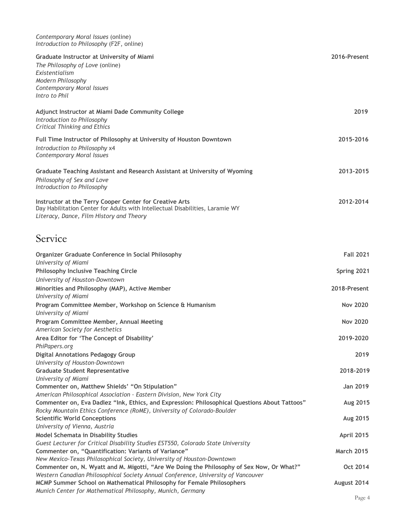| Contemporary Moral Issues (online)       |  |
|------------------------------------------|--|
| Introduction to Philosophy (F2F, online) |  |

| Graduate Instructor at University of Miami<br>The Philosophy of Love (online)<br>Existentialism<br><b>Modern Philosophy</b><br><b>Contemporary Moral Issues</b><br>Intro to Phil     | 2016-Present      |
|--------------------------------------------------------------------------------------------------------------------------------------------------------------------------------------|-------------------|
| Adjunct Instructor at Miami Dade Community College<br>Introduction to Philosophy<br><b>Critical Thinking and Ethics</b>                                                              | 2019              |
| Full Time Instructor of Philosophy at University of Houston Downtown<br>Introduction to Philosophy x4<br><b>Contemporary Moral Issues</b>                                            | 2015-2016         |
| Graduate Teaching Assistant and Research Assistant at University of Wyoming<br>Philosophy of Sex and Love<br>Introduction to Philosophy                                              | 2013-2015         |
| Instructor at the Terry Cooper Center for Creative Arts<br>Day Habilitation Center for Adults with Intellectual Disabilities, Laramie WY<br>Literacy, Dance, Film History and Theory | 2012-2014         |
| Service                                                                                                                                                                              |                   |
| Organizer Graduate Conference in Social Philosophy                                                                                                                                   | <b>Fall 2021</b>  |
| University of Miami<br><b>Philosophy Inclusive Teaching Circle</b>                                                                                                                   | Spring 2021       |
| University of Houston-Downtown                                                                                                                                                       |                   |
| Minorities and Philosophy (MAP), Active Member<br>University of Miami                                                                                                                | 2018-Present      |
| Program Committee Member, Workshop on Science & Humanism                                                                                                                             | <b>Nov 2020</b>   |
| University of Miami<br>Program Committee Member, Annual Meeting                                                                                                                      | <b>Nov 2020</b>   |
| American Society for Aesthetics                                                                                                                                                      |                   |
| Area Editor for 'The Concept of Disability'<br>PhiPapers.org                                                                                                                         | 2019-2020         |
| <b>Digital Annotations Pedagogy Group</b>                                                                                                                                            | 2019              |
| University of Houston-Downtown<br><b>Graduate Student Representative</b>                                                                                                             | 2018-2019         |
| University of Miami                                                                                                                                                                  |                   |
| Commenter on, Matthew Shields' "On Stipulation"<br>American Philosophical Association - Eastern Division, New York City                                                              | Jan 2019          |
| Commenter on, Eva Dadlez "Ink, Ethics, and Expression: Philosophical Questions About Tattoos"                                                                                        | Aug 2015          |
| Rocky Mountain Ethics Conference (RoME), University of Colorado-Boulder<br><b>Scientific World Conceptions</b>                                                                       | Aug 2015          |
| University of Vienna, Austria                                                                                                                                                        |                   |
| <b>Model Schemata in Disability Studies</b><br>Guest Lecturer for Critical Disability Studies EST550, Colorado State University                                                      | April 2015        |
| Commenter on, "Quantification: Variants of Variance"                                                                                                                                 | <b>March 2015</b> |
| New Mexico-Texas Philosophical Society, University of Houston-Downtown<br>Commenter on, N. Wyatt and M. Migotti, "Are We Doing the Philosophy of Sex Now, Or What?"                  | Oct 2014          |
| Western Canadian Philosophical Society Annual Conference, University of Vancouver                                                                                                    |                   |
| MCMP Summer School on Mathematical Philosophy for Female Philosophers<br>Munich Center for Mathematical Philosophy, Munich, Germany                                                  | August 2014       |
|                                                                                                                                                                                      |                   |